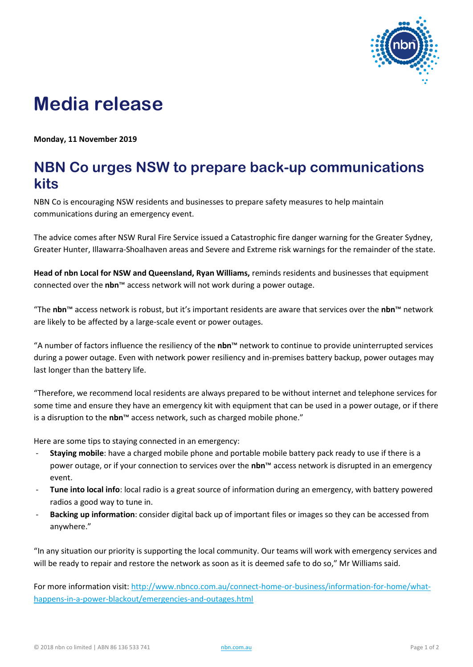

## **Media release**

**Monday, 11 November 2019**

## **NBN Co urges NSW to prepare back-up communications kits**

NBN Co is encouraging NSW residents and businesses to prepare safety measures to help maintain communications during an emergency event.

The advice comes after NSW Rural Fire Service issued a Catastrophic fire danger warning for the Greater Sydney, Greater Hunter, Illawarra-Shoalhaven areas and Severe and Extreme risk warnings for the remainder of the state.

**Head of nbn Local for NSW and Queensland, Ryan Williams,** reminds residents and businesses that equipment connected over the **nbn**™ access network will not work during a power outage.

"The **nbn**™ access network is robust, but it's important residents are aware that services over the **nbn**™ network are likely to be affected by a large-scale event or power outages.

"A number of factors influence the resiliency of the **nbn**™ network to continue to provide uninterrupted services during a power outage. Even with network power resiliency and in-premises battery backup, power outages may last longer than the battery life.

"Therefore, we recommend local residents are always prepared to be without internet and telephone services for some time and ensure they have an emergency kit with equipment that can be used in a power outage, or if there is a disruption to the **nbn**™ access network, such as charged mobile phone."

Here are some tips to staying connected in an emergency:

- **Staying mobile**: have a charged mobile phone and portable mobile battery pack ready to use if there is a power outage, or if your connection to services over the **nbn**™ access network is disrupted in an emergency event.
- **Tune into local info**: local radio is a great source of information during an emergency, with battery powered radios a good way to tune in.
- **Backing up information**: consider digital back up of important files or images so they can be accessed from anywhere."

"In any situation our priority is supporting the local community. Our teams will work with emergency services and will be ready to repair and restore the network as soon as it is deemed safe to do so," Mr Williams said.

For more information visit: [http://www.nbnco.com.au/connect-home-or-business/information-for-home/what](http://www.nbnco.com.au/connect-home-or-business/information-for-home/what-happens-in-a-power-blackout/emergencies-and-outages.html)[happens-in-a-power-blackout/emergencies-and-outages.html](http://www.nbnco.com.au/connect-home-or-business/information-for-home/what-happens-in-a-power-blackout/emergencies-and-outages.html)